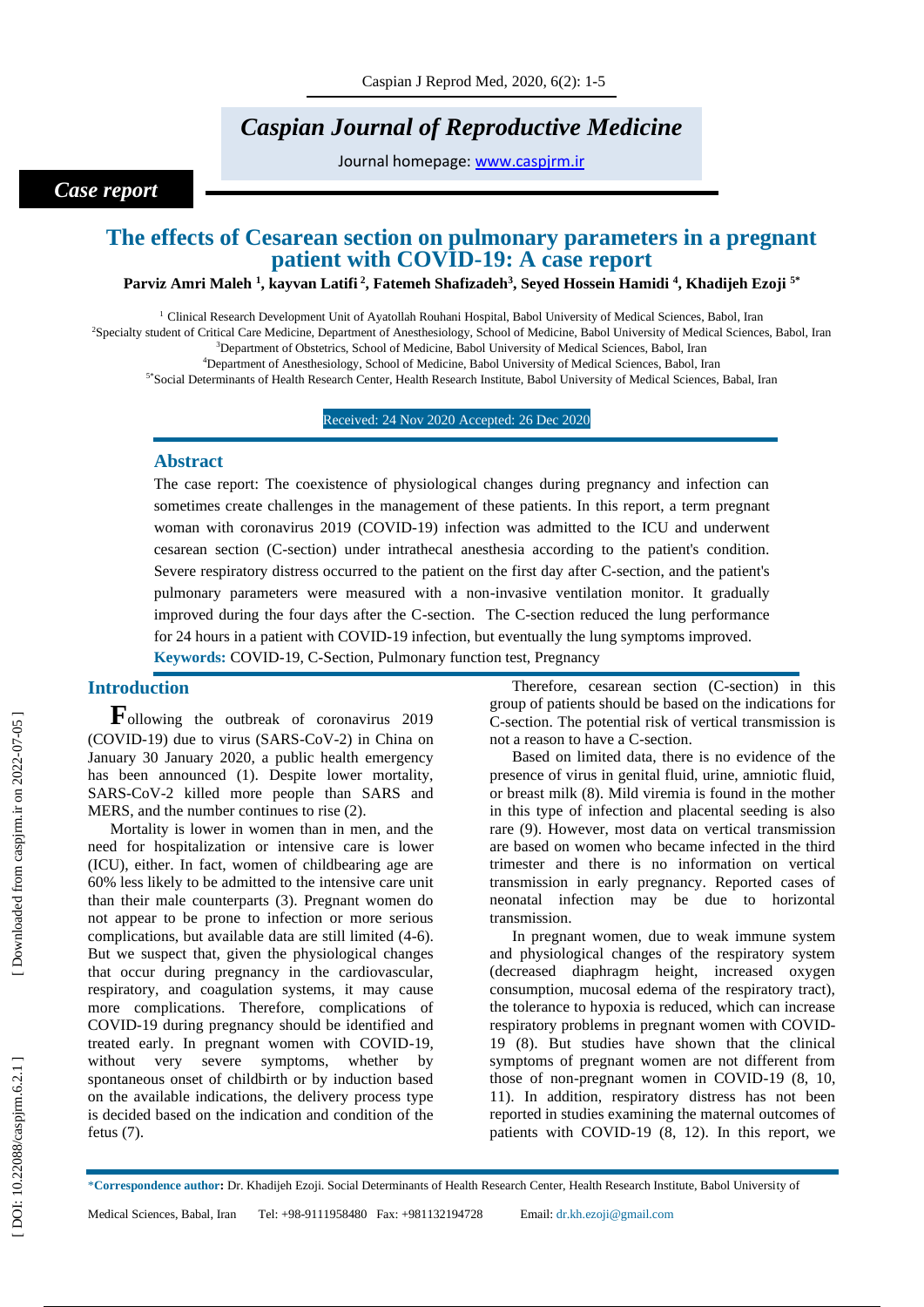# *Caspian Journal of Reproductive Medicine*

Journal homepage: [www.caspjrm.ir](http://www.caspjrm.ir/)

## *Case report*

## **The effects of Cesarean section on pulmonary parameters in a pregnant patient with COVID -19: A case report**

#### **Parviz Amri Maleh 1 , kayvan Latifi 2 , Fatemeh Shafizadeh 3 , Seyed Hossein Hamidi 4 , Khadijeh Ezoji 5 \***

<sup>1</sup> Clinical Research Development Unit of Ayatollah Rouhani Hospital, Babol University of Medical Sciences, Babol, Iran <sup>2</sup>Specialty student of Critical Care Medicine, Department of Anesthesiology, School of Medicine, Babol University of Medical Sciences, Babol, Iran <sup>3</sup>Department of Obstetrics, School of Medicine, Babol University of Medical Sciences, Babol, Iran

<sup>4</sup>Department of Anesthesiology, School of Medicine, Babol University of Medical Sciences, Babol, Iran

5\*Social Determinants of Health Research Center, Health Research Institute, Babol University of Medical Sciences, Babal, Iran

#### Received: 24 Nov 2020 Accepted: 26 Dec 2020

#### **Abstract**

The case report: The coexistence of physiological changes during pregnancy and infection can sometimes create challenges in the management of these patients. In this report, a term pregnant woman with coronavirus 2019 (COVID -19 ) infection was admitted to the ICU and underwent cesarean section (C -section) under intrathecal anesthesia according to the patient's condition. Severe respiratory distress occurred to the patient on the first day after C -section, and the patient's pulmonary parameters were measured with a non -invasive ventilation monitor. It gradually improved during the four days after the C -section. The C -section reduced the lung performance for 24 hours in a patient with COVID -19 infection, but eventually the lung symptoms improved. Keywords: COVID-19, C-Section, Pulmonary function test, Pregnancy

## **Introduction**

**F**ollowing the outbreak of coronavirus 2019 (COVID -19) due to virus (SARS -CoV -2) in China on January 30 January 2020, a public health emergency has been announced (1). Despite lower mortality, SARS -CoV -2 killed more people than SARS and MERS, and the number continues to rise (2).

Mortality is lower in women than in men, and the need for hospitalization or intensive care is lower (ICU), either. In fact, women of childbearing age are 60% less likely to be admitted to the intensive care unit than their male counterparts (3). Pregnant women do not appear to be prone to infection or more serious complications, but available data are still limited (4 -6). But we suspect that, given the physiological changes that occur during pregnancy in the cardiovascular, respiratory, and coagulation systems, it may cause more complications. Therefore, complications of COVID -19 during pregnancy should be identified and treated early. In pregnant women with COVID -19, without very severe symptoms, whether by spontaneous onset of childbirth or by induction based on the available indications, the delivery process type is decided based on the indication and condition of the fetus (7).

Therefore, cesarean section (C -section) in this group of patients should be based on the indications for C-section. The potential risk of vertical transmission is not a reason to have a C -section.

Based on limited data, there is no evidence of the presence of virus in genital fluid, urine, amniotic fluid, or breast milk (8). Mild viremia is found in the mother in this type of infection and placental seeding is also rare (9). However, most data on vertical transmission are based on women who became infected in the third trimester and there is no information on vertical transmission in early pregnancy. Reported cases of neonatal infection may be due to horizontal transmission.

In pregnant women, due to weak immune system and physiological changes of the respiratory system (decreased diaphragm height, increased oxygen consumption, mucosal edema of the respiratory tract), the tolerance to hypoxia is reduced, which can increase respiratory problems in pregnant women with COVID - 19 (8). But studies have shown that the clinical symptoms of pregnant women are not different from those of non -pregnant women in COVID -19 (8, 10, 11). In addition, respiratory distress has not been reported in studies examining the maternal outcomes of patients with COVID -19 (8, 12). In this report, we

<sup>\*</sup>**Correspondence author :** Dr. Khadijeh Ezoji. Social Determinants of Health Research Center, Health Research Institute, Babol University of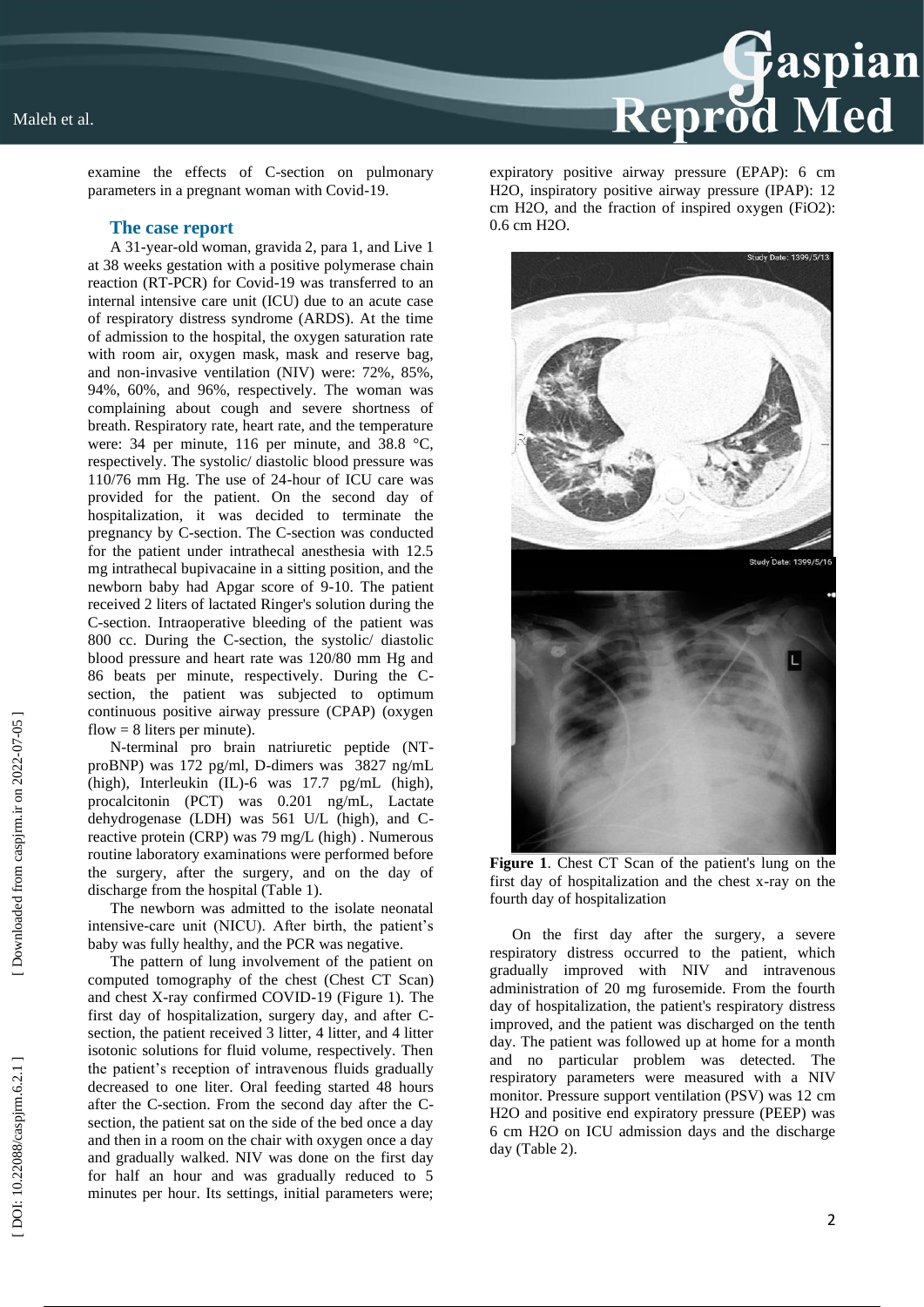

examine the effects of C -section on pulmonary parameters in a pregnant woman with Covid -19.

#### **The case report**

A 31 -year -old woman, gravida 2, para 1, and Live 1 at 38 weeks gestation with a positive polymerase chain reaction (RT -PCR) for Covid -19 was transferred to an internal intensive care unit (ICU) due to an acute case of respiratory distress syndrome (ARDS). At the time of admission to the hospital, the oxygen saturation rate with room air, oxygen mask, mask and reserve bag, and non -invasive ventilation (NIV) were: 72%, 85%, 94%, 60%, and 96%, respectively. The woman was complaining about cough and severe shortness of breath. Respiratory rate, heart rate, and the temperature were: 34 per minute, 116 per minute, and 38.8 °C, respectively. The systolic/ diastolic blood pressure was 110/76 mm Hg. The use of 24 -hour of ICU care was provided for the patient. On the second day of hospitalization, it was decided to terminate the pregnancy by C -section. The C -section was conducted for the patient under intrathecal anesthesia with 12.5 mg intrathecal bupivacaine in a sitting position, and the newborn baby had Apgar score of 9 -10. The patient received 2 liters of lactated Ringer's solution durin g the C -section. Intraoperative bleeding of the patient was 800 cc. During the C -section, the systolic/ diastolic blood pressure and heart rate was 120/80 mm Hg and 86 beats per minute, respectively. During the C section, the patient was subjected to optim um continuous positive airway pressure (CPAP) (oxygen flow  $= 8$  liters per minute).

N-terminal pro brain natriuretic peptide (NT proBNP) was 172 pg/ml, D -dimers was 3827 ng/mL (high), Interleukin (IL) - 6 was 17.7 pg/mL (high), procalcitonin (PCT) was 0.201 ng/mL, Lactate dehydrogenase (LDH) was 561 U/L (high), and C reactive protein (CRP) was 79 mg/L (high) . Numerous routine laboratory examinations were performed before the surgery, after the surgery, and on the day of discharge from the hospital (Table 1).

The newborn was admitted to the isolate neonatal intensive -care unit (NICU). After birth, the patient's baby was fully healthy, and the PCR was negative.

The pattern of lung involvement of the patient on computed tomography of the chest (Chest CT Scan ) and chest X -ray confirmed COVID -19 (Figure 1). The first day of hospitalization, surgery day, and after Csection, the patient received 3 litter, 4 litter, and 4 litter isotonic solutions for fluid volume, respectively. Then the patient's reception of intravenous fluids gradually decreased to one liter. Oral feeding started 48 hours after the C -section. From the second day after the C section, the patient sat on the side of the bed once a day and then in a room on the chair with oxygen once a day and gradually walked. NIV was done on the first day for half an hour and was gradually reduced to 5 minutes per hour. Its settings, initial parameters were;

expiratory positive airway pressure (EPAP): 6 cm H2O, inspiratory positive airway pressure (IPAP): 12 cm H2O, and the fraction of inspired oxygen (FiO2): 0.6 cm H2O.



**Figure 1** . Chest CT Scan of the patient's lung on the first day of hospitalization and the chest x -ray on the fourth day of hospitalization

On the first day after the surgery, a severe respiratory distress occurred to the patient, which gradually improved with NIV and intravenous administration of 20 mg furosemide. From the fourth day of hospitalization, the patient's respiratory distress improved, and the patient was discharged on the tenth day. The patient was followed up at home for a month and no particular problem was detected. The respiratory parameters were measured with a NIV monitor. Pressure support ventilation (PSV) was 12 cm H2O and positive end expiratory pressure (PEEP) was 6 cm H2O on ICU admission days and the discharge day (Table 2).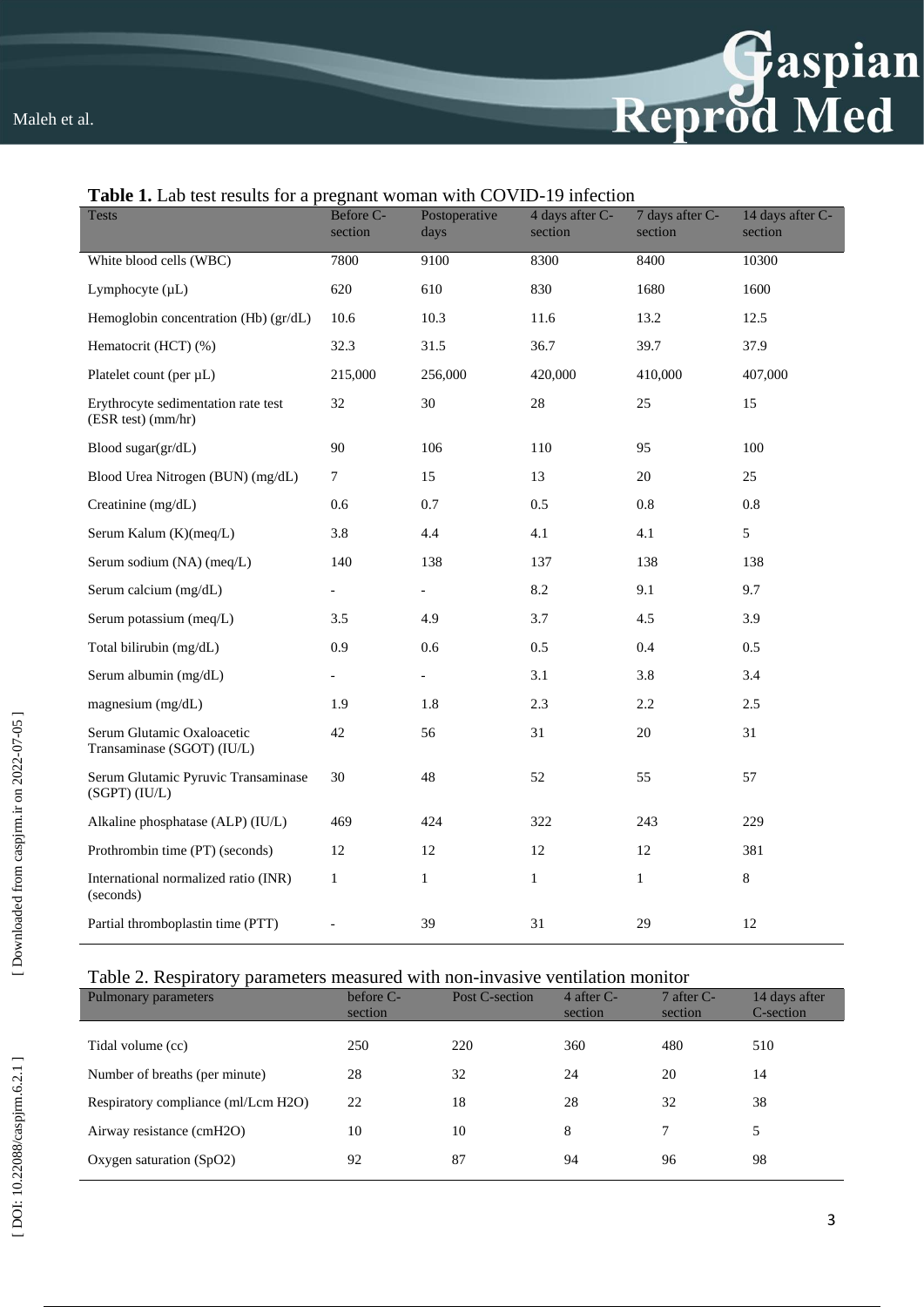

| <b>Tests</b>                                              | Before C-<br>section     | Postoperative<br>days    | 4 days after C-<br>section | 7 days after C-<br>section | 14 days after C-<br>section |
|-----------------------------------------------------------|--------------------------|--------------------------|----------------------------|----------------------------|-----------------------------|
| White blood cells (WBC)                                   | 7800                     | 9100                     | 8300                       | 8400                       | 10300                       |
| Lymphocyte (µL)                                           | 620                      | 610                      | 830                        | 1680                       | 1600                        |
| Hemoglobin concentration (Hb) (gr/dL)                     | 10.6                     | 10.3                     | 11.6                       | 13.2                       | 12.5                        |
| Hematocrit (HCT) (%)                                      | 32.3                     | 31.5                     | 36.7                       | 39.7                       | 37.9                        |
| Platelet count (per µL)                                   | 215,000                  | 256,000                  | 420,000                    | 410,000                    | 407,000                     |
| Erythrocyte sedimentation rate test<br>(ESR test) (mm/hr) | 32                       | 30                       | 28                         | 25                         | 15                          |
| Blood sugar(gr/dL)                                        | 90                       | 106                      | 110                        | 95                         | 100                         |
| Blood Urea Nitrogen (BUN) (mg/dL)                         | 7                        | 15                       | 13                         | 20                         | 25                          |
| Creatinine (mg/dL)                                        | 0.6                      | 0.7                      | 0.5                        | 0.8                        | $0.8\,$                     |
| Serum Kalum (K)(meq/L)                                    | 3.8                      | 4.4                      | 4.1                        | 4.1                        | 5                           |
| Serum sodium (NA) (meq/L)                                 | 140                      | 138                      | 137                        | 138                        | 138                         |
| Serum calcium (mg/dL)                                     | $\overline{\phantom{0}}$ | -                        | 8.2                        | 9.1                        | 9.7                         |
| Serum potassium (meq/L)                                   | 3.5                      | 4.9                      | 3.7                        | 4.5                        | 3.9                         |
| Total bilirubin (mg/dL)                                   | 0.9                      | 0.6                      | 0.5                        | 0.4                        | 0.5                         |
| Serum albumin (mg/dL)                                     | $\overline{\phantom{0}}$ | $\overline{\phantom{0}}$ | 3.1                        | 3.8                        | 3.4                         |
| magnesium (mg/dL)                                         | 1.9                      | 1.8                      | 2.3                        | 2.2                        | 2.5                         |
| Serum Glutamic Oxaloacetic<br>Transaminase (SGOT) (IU/L)  | 42                       | 56                       | 31                         | $20\,$                     | 31                          |
| Serum Glutamic Pyruvic Transaminase<br>(SGPT) (IU/L)      | 30                       | 48                       | 52                         | 55                         | 57                          |
| Alkaline phosphatase (ALP) (IU/L)                         | 469                      | 424                      | 322                        | 243                        | 229                         |
| Prothrombin time (PT) (seconds)                           | 12                       | 12                       | 12                         | 12                         | 381                         |
| International normalized ratio (INR)<br>(seconds)         | $\mathbf{1}$             | $\mathbf{1}$             | $\mathbf{1}$               | 1                          | $8\,$                       |
| Partial thromboplastin time (PTT)                         |                          | 39                       | 31                         | 29                         | 12                          |
|                                                           |                          |                          |                            |                            |                             |

## Table 1. Lab test results for a pregnant woman with COVID-19 infection

#### Table 2. Respiratory parameters measured with non -invasive ventilation monitor

| Pulmonary parameters                | before C-<br>section | Post C-section | 4 after $C$ -<br>section | $7$ after C-<br>section | 14 days after<br>C-section |
|-------------------------------------|----------------------|----------------|--------------------------|-------------------------|----------------------------|
| Tidal volume (cc)                   | 250                  | 220            | 360                      | 480                     | 510                        |
| Number of breaths (per minute)      | 28                   | 32             | 24                       | 20                      | 14                         |
| Respiratory compliance (ml/Lcm H2O) | 22                   | 18             | 28                       | 32                      | 38                         |
| Airway resistance (cmH2O)           | 10                   | 10             | 8                        |                         | 5                          |
| Oxygen saturation $(SpO2)$          | 92                   | 87             | 94                       | 96                      | 98                         |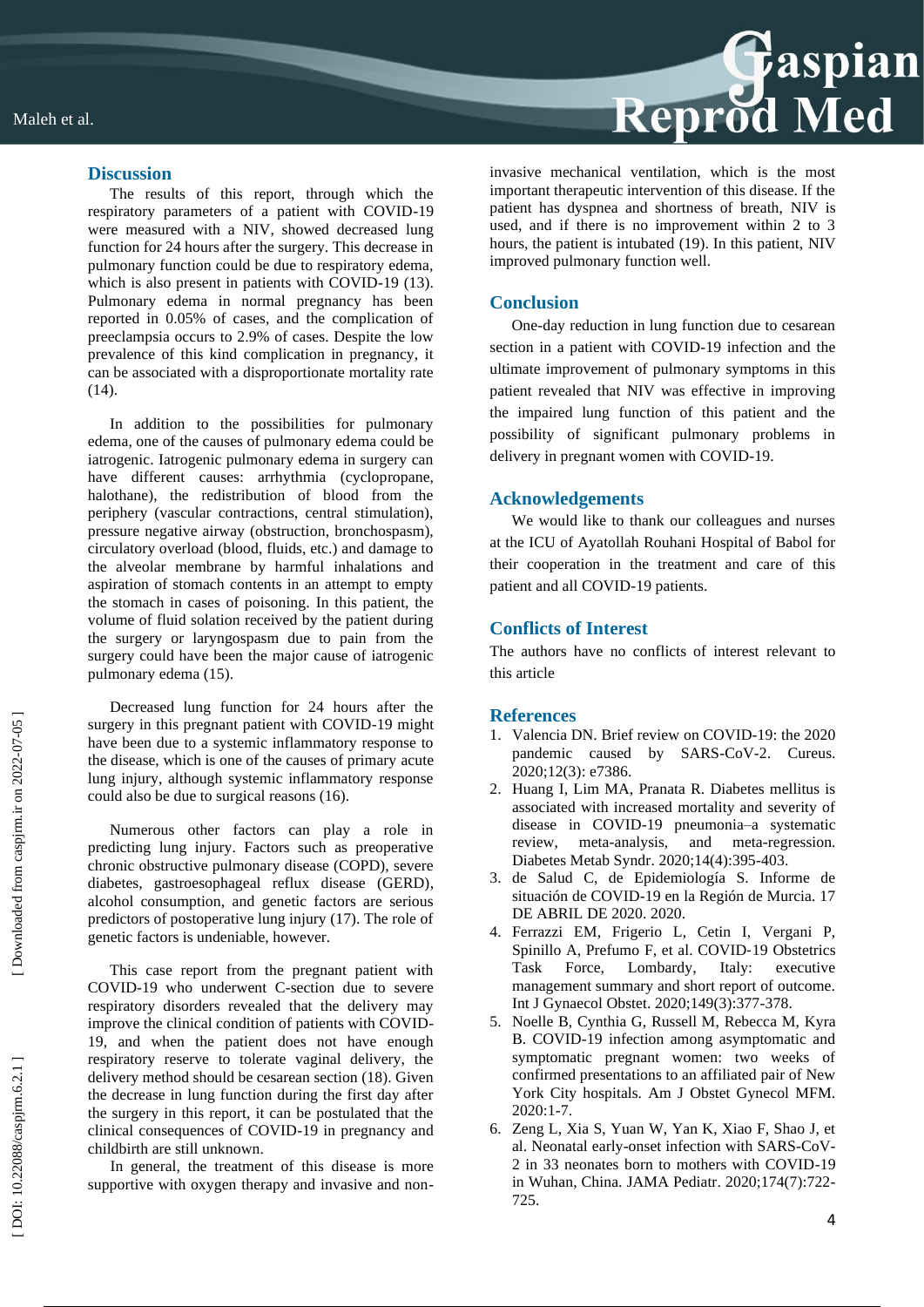#### **Discussion**

The results of this report, through which the respiratory parameters of a patient with COVID -19 were measured with a NIV, showed decreased lung function for 24 hours after the surgery. This decrease in pulmonary function could be due to respiratory edema, which is also present in patients with COVID-19 (13). Pulmonary edema in normal pregnancy has been reported in 0.05% of cases, and the complication of preeclampsia occurs to 2.9% of cases. Despite the low prevalence of this kind complication in pregnancy, it can be associated with a disproportionate mortality rate  $(14)$ .

In addition to the possibilities for pulmonary edema, one of the causes of pulmonary edema could be iatrogenic. Iatrogenic pulmonary edema in surgery can have different causes: arrhythmia (cyclopropane, halothane), the redistribution of blood from the periphery (vascular contractions, central stimulation), pressure negative airway (obstruction, bronchospasm), circulatory overload (blood, fluids, etc.) and damage to the alveolar membrane by harmful inhalations and aspiration of stomach contents in an attempt to empty the stomach in cases of poisoning. In this patient, the volume of fluid solation received by the patient during the surgery or laryngospasm due to pain from the surgery could have been the major cause of iatrogenic pulmonary edema (15).

Decreased lung function for 24 hours after the surgery in this pregnant patient with COVID -19 might have been due to a systemic inflammatory response to the disease, which is one of the causes of primary acute lung injury, although systemic inflammatory response could also be due to surgical reasons (16).

Numerous other factors can play a role in predicting lung injury. Factors such as preoperative chronic obstructive pulmonary disease (COPD), severe diabetes, gastroesophageal reflux disease (GERD), alcohol consumption, and genetic factors are serious predictors of postoperative lung injury (17). The role of genetic factors is undeniable, however.

This case report from the pregnant patient with COVID -19 who underwent C -section due to severe respiratory disorders revealed that the delivery may improve the clinical condition of patients with COVID - 19, and when the patient does not have enough respiratory reserve to tolerate vaginal delivery, the delivery method should be cesarean section (18). Given the decrease in lung function during the first day after the surgery in this report, it can be postulated that the clinical consequences of COVID -19 in pregnancy and childbirth are still unknown.

In general, the treatment of this disease is more supportive with oxygen therapy and invasive and non -



invasive mechanical ventilation, which is the most important therapeutic intervention of this disease. If the patient has dyspnea and shortness of breath, NIV is used, and if there is no improvement within 2 to 3 hours, the patient is intubated (19). In this patient, NIV improved pulmonary function well.

#### **Conclusion**

One -day reduction in lung function due to cesarean section in a patient with COVID -19 infection and the ultimate improvement of pulmonary symptoms in this patient revealed that NI V was effective in improving the impaired lung function of this patient and the possibility of significant pulmonary problems in delivery in pregnant women with COVID -19.

#### **Acknowledgements**

We would like to thank our colleagues and nurses at the ICU of Ayatollah Rouhani Hospital of Babol for their cooperation in the treatment and care of this patient and all COVID -19 patients.

#### **Conflicts of Interest**

The authors have no conflicts of interest relevant to this article

#### **References**

- 1. Valencia DN. Brief review on COVID -19: the 2020 pandemic caused by SARS -CoV -2. Cureus. 2020;12(3): e7386.
- 2. Huang I, Lim MA, Pranata R. Diabetes mellitus is associated with increased mortality and severity of disease in COVID -19 pneumonia –a systematic review, meta-analysis, -analysis, and meta-regression. Diabetes Metab Syndr. 2020;14(4):395 -403.
- 3. de Salud C, de Epidemiología S. Informe de situación de COVID -19 en la Región de Murcia. 17 DE ABRIL DE 2020. 2020.
- 4. Ferrazzi EM, Frigerio L, Cetin I, Vergani P, Spinillo A, Prefumo F, et al. COVID‐19 Obstetrics Task Force, Lombardy, Italy: executive management summary and short report of outcome. Int J Gynaecol Obstet. 2020;149(3):377 -378.
- 5. Noelle B, Cynthia G, Russell M, Rebecca M, Kyr a B. COVID -19 infection among asymptomatic and symptomatic pregnant women: two weeks of confirmed presentations to an affiliated pair of New York City hospitals. Am J Obstet Gynecol MFM. 2020:1 -7.
- 6. Zeng L, Xia S, Yuan W, Yan K, Xiao F, Shao J, et al. Neonatal early-onset infection with SARS-CoV-2 in 33 neonates born to mothers with COVID -19 in Wuhan, China. JAMA Pediatr. 2020;174(7):722 - 725.